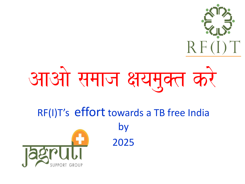

# आओ समाज क्षयमुक्त करे

## RF(I)T's effort towards a TB free India by 2025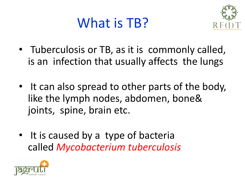#### What is TB?



- Tuberculosis or TB, as it is commonly called, is an infection that usually affects the lungs
- It can also spread to other parts of the body, like the lymph nodes, abdomen, bone& joints, spine, brain etc.
- It is caused by a type of bacteria called *Mycobacterium tuberculosis*

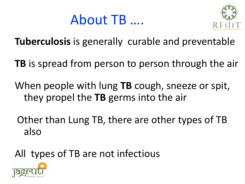



**Tuberculosis** is generally curable and preventable

**TB** is spread from person to person through the air

When people with lung **TB** cough, sneeze or spit, they propel the **TB** germs into the air

Other than Lung TB, there are other types of TB also

All types of TB are not infectious

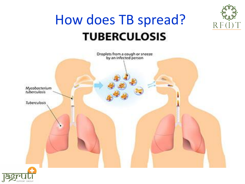

#### How does TB spread?**TUBERCULOSIS**



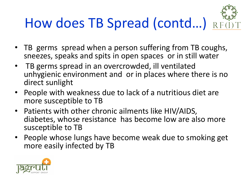## How does TB Spread (contd...) RF

- TB germs spread when a person suffering from TB coughs, sneezes, speaks and spits in open spaces or in still water
- TB germs spread in an overcrowded, ill ventilated unhygienic environment and or in places where there is no direct sunlight
- People with weakness due to lack of a nutritious diet are more susceptible to TB
- Patients with other chronic ailments like HIV/AIDS, diabetes, whose resistance has become low are also more susceptible to TB
- People whose lungs have become weak due to smoking get more easily infected by TB

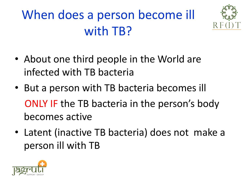#### When does a person become ill with TB?



- About one third people in the World are infected with TB bacteria
- But a person with TB bacteria becomes ill ONLY IF the TB bacteria in the person's body becomes active
- Latent (inactive TB bacteria) does not make a person ill with TB

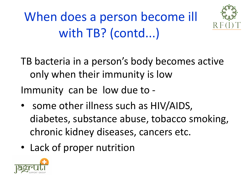When does a person become ill with TB? (contd...)



TB bacteria in a person's body becomes active only when their immunity is low Immunity can be low due to -

- some other illness such as HIV/AIDS, diabetes, substance abuse, tobacco smoking, chronic kidney diseases, cancers etc.
- Lack of proper nutrition

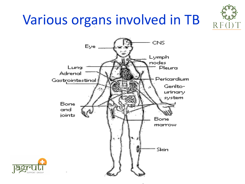### Various organs involved in TB



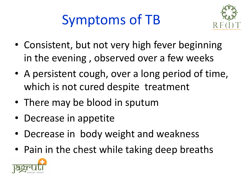### Symptoms of TB



- Consistent, but not very high fever beginning in the evening , observed over a few weeks
- A persistent cough, over a long period of time, which is not cured despite treatment
- There may be blood in sputum
- Decrease in appetite
- Decrease in body weight and weakness
- Pain in the chest while taking deep breaths

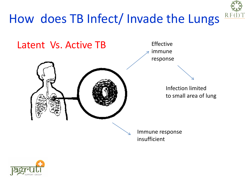

#### How does TB Infect/ Invade the Lungs

Latent Vs. Active TB



Effective immune response

> Infection limited to small area of lung

Immune response insufficient

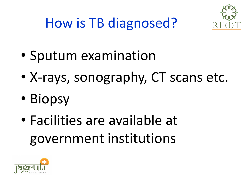

#### How is TB diagnosed?

- Sputum examination
- X-rays, sonography, CT scans etc.
- Biopsy
- Facilities are available at government institutions

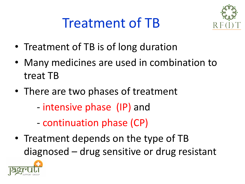#### Treatment of TB



- Treatment of TB is of long duration
- Many medicines are used in combination to treat TB
- There are two phases of treatment
	- intensive phase (IP) and
	- continuation phase (CP)
- Treatment depends on the type of TB diagnosed – drug sensitive or drug resistant

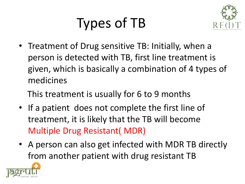## Types of TB



• Treatment of Drug sensitive TB: Initially, when a person is detected with TB, first line treatment is given, which is basically a combination of 4 types of medicines

This treatment is usually for 6 to 9 months

- If a patient does not complete the first line of treatment, it is likely that the TB will become Multiple Drug Resistant( MDR)
- A person can also get infected with MDR TB directly from another patient with drug resistant TB

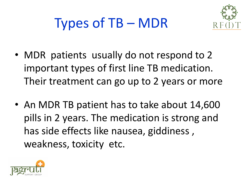



- MDR patients usually do not respond to 2 important types of first line TB medication. Their treatment can go up to 2 years or more
- An MDR TB patient has to take about 14,600 pills in 2 years. The medication is strong and has side effects like nausea, giddiness , weakness, toxicity etc.

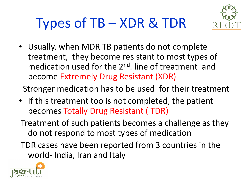#### Types of TB – XDR & TDR



• Usually, when MDR TB patients do not complete treatment, they become resistant to most types of medication used for the 2<sup>nd</sup>. line of treatment and become Extremely Drug Resistant (XDR)

Stronger medication has to be used for their treatment

• If this treatment too is not completed, the patient becomes Totally Drug Resistant ( TDR)

Treatment of such patients becomes a challenge as they do not respond to most types of medication

TDR cases have been reported from 3 countries in the world- India, Iran and Italy

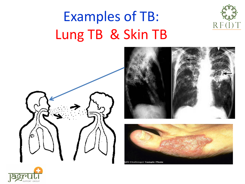### Examples of TB: Lung TB & Skin TB





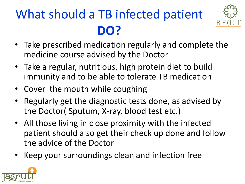### What should a TB infected patient **DO?**



- Take prescribed medication regularly and complete the medicine course advised by the Doctor
- Take a regular, nutritious, high protein diet to build immunity and to be able to tolerate TB medication
- Cover the mouth while coughing
- Regularly get the diagnostic tests done, as advised by the Doctor( Sputum, X-ray, blood test etc.)
- All those living in close proximity with the infected patient should also get their check up done and follow the advice of the Doctor
- Keep your surroundings clean and infection free

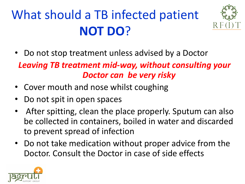#### What should a TB infected patient **NOT DO**?



• Do not stop treatment unless advised by a Doctor

#### *Leaving TB treatment mid-way, without consulting your Doctor can be very risky*

- Cover mouth and nose whilst coughing
- Do not spit in open spaces
- After spitting, clean the place properly. Sputum can also be collected in containers, boiled in water and discarded to prevent spread of infection
- Do not take medication without proper advice from the Doctor. Consult the Doctor in case of side effects

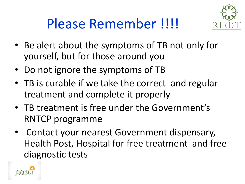

#### Please Remember !!!!

- Be alert about the symptoms of TB not only for yourself, but for those around you
- Do not ignore the symptoms of TB
- TB is curable if we take the correct and regular treatment and complete it properly
- TB treatment is free under the Government's RNTCP programme
- Contact your nearest Government dispensary, Health Post, Hospital for free treatment and free diagnostic tests

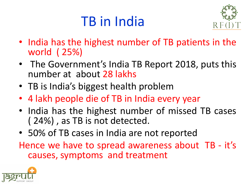#### TB in India



- India has the highest number of TB patients in the world ( 25%)
- The Government's India TB Report 2018, puts this number at about 28 lakhs
- TB is India's biggest health problem
- 4 lakh people die of TB in India every year
- India has the highest number of missed TB cases ( 24%) , as TB is not detected.
- 50% of TB cases in India are not reported

Hence we have to spread awareness about TB - it's causes, symptoms and treatment

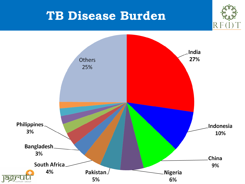#### **TB Disease Burden**

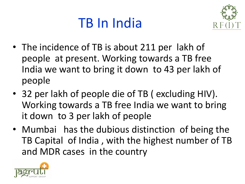#### TB In India



- The incidence of TB is about 211 per lakh of people at present. Working towards a TB free India we want to bring it down to 43 per lakh of people
- 32 per lakh of people die of TB ( excluding HIV). Working towards a TB free India we want to bring it down to 3 per lakh of people
- Mumbai has the dubious distinction of being the TB Capital of India , with the highest number of TB and MDR cases in the country

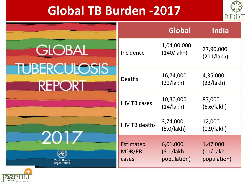#### **Global TB Burden -2017**



|                                                       |                                     | <b>Global</b>                            | India                                  |
|-------------------------------------------------------|-------------------------------------|------------------------------------------|----------------------------------------|
| <b>GLOBAL</b><br><b>TUBERCULOSIS</b><br><b>REPORT</b> | Incidence                           | 1,04,00,000<br>(140/lakh)                | 27,90,000<br>(211/lak)                 |
|                                                       | <b>Deaths</b>                       | 16,74,000<br>(22/lakh)                   | 4,35,000<br>(33/lakh)                  |
|                                                       | <b>HIV TB cases</b>                 | 10,30,000<br>(14/14kh)                   | 87,000<br>(6.6/lakh)                   |
| 2017<br>World Health<br>Organization                  | <b>HIV TB deaths</b>                | 3,74,000<br>(5.0/lakh)                   | 12,000<br>$(0.9/$ lakh $)$             |
|                                                       | <b>Estimated</b><br>MDR/RR<br>cases | 6,01,000<br>$(8.1/1)$ akh<br>population) | 1,47,000<br>$(11/$ lakh<br>population) |

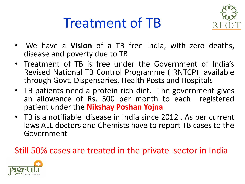#### Treatment of TB



- We have a **Vision** of a TB free India, with zero deaths, disease and poverty due to TB
- Treatment of TB is free under the Government of India's Revised National TB Control Programme ( RNTCP) available through Govt. Dispensaries, Health Posts and Hospitals
- TB patients need a protein rich diet. The government gives an allowance of Rs. 500 per month to each registered patient under the **Nikshay Poshan Yojna**
- TB is a notifiable disease in India since 2012 . As per current laws ALL doctors and Chemists have to report TB cases to the Government

#### Still 50% cases are treated in the private sector in India